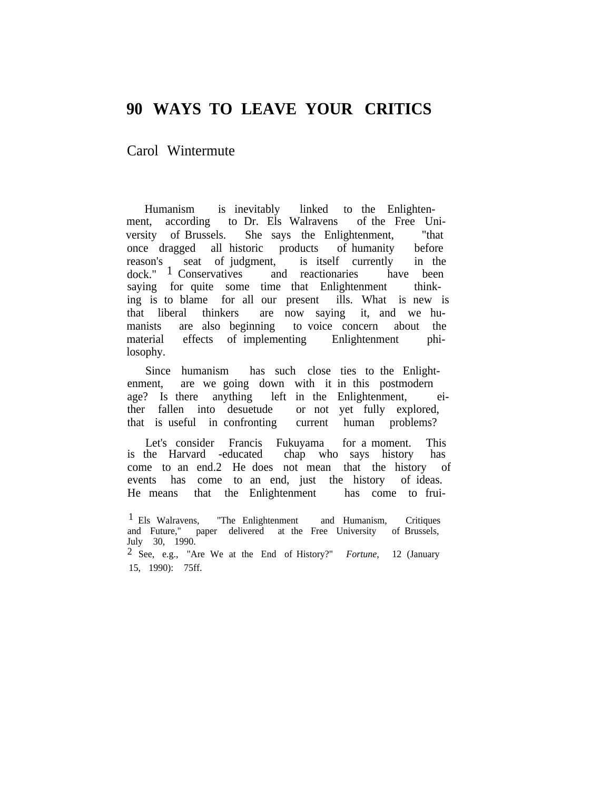## **90 WAYS TO LEAVE YOUR CRITICS**

Carol Wintermute

Humanism is inevitably linked to the Enlightenment, according to Dr. Els Walravens of the Free University of Brussels. She says the Enlightenment, "that once dragged all historic products of humanity before reason's seat of judgment, is itself currently in the dock."  $\frac{1}{1}$  Conservatives and reactionaries have been dock." <sup>1</sup> Conservatives and reactionaries have been saying for quite some time that Enlightenment thinking is to blame for all our present ills. What is new is that liberal thinkers are now saying it, and we humanists are also beginning to voice concern about the material effects of implementing Enlightenment philosophy.

Since humanism has such close ties to the Enlightenment, are we going down with it in this postmodern age? Is there anything left in the Enlightenment, either fallen into desuetude or not yet fully explored, that is useful in confronting current human problems?

Let's consider Francis Fukuyama for a moment. This is the Harvard -educated chap who says history has come to an end.2 He does not mean that the history of events has come to an end, just the history of ideas. He means that the Enlightenment has come to frui-

2 See, e.g., "Are We at the End of History?" *Fortune,* 12 (January 15, 1990): 75ff.

<sup>&</sup>lt;sup>1</sup> Els Walravens, "The Enlightenment and Humanism, Critiques and Future," paper delivered at the Free University of Brussels, July 30, 1990.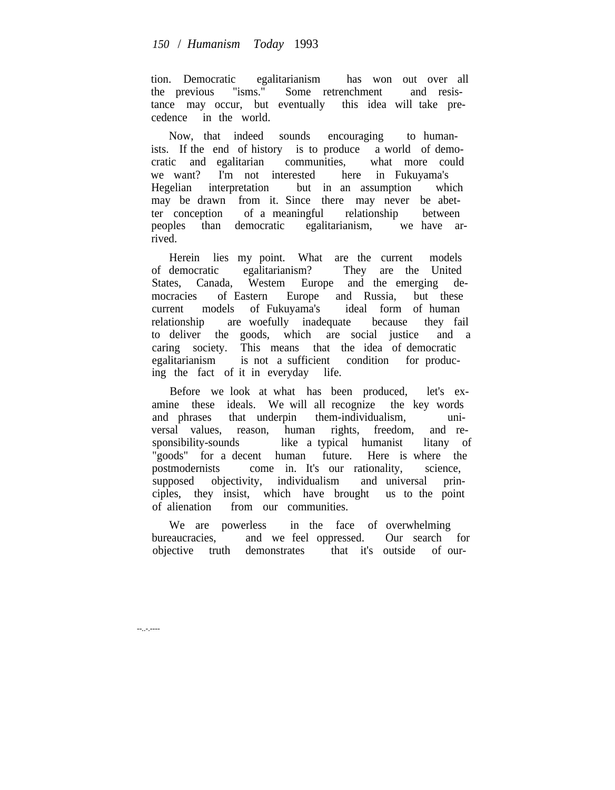tion. Democratic egalitarianism has won out over all the previous "isms." Some retrenchment and resistance may occur, but eventually this idea will take precedence in the world.

Now, that indeed sounds encouraging to humanists. If the end of history is to produce a world of democratic and egalitarian communities, what more could we want? I'm not interested here in Fukuyama's Hegelian interpretation but in an assumption which may be drawn from it. Since there may never be abetter conception of a meaningful relationship between peoples than democratic egalitarianism, we have arrived.

Herein lies my point. What are the current models of democratic egalitarianism? They are the United States, Canada, Westem Europe and the emerging democracies of Eastern Europe and Russia, but these current models of Fukuyama's ideal form of human relationship are woefully inadequate because they fail to deliver the goods, which are social justice and a caring society. This means that the idea of democratic egalitarianism is not a sufficient condition for producing the fact of it in everyday life.

Before we look at what has been produced, let's examine these ideals. We will all recognize the key words and phrases that underpin them-individualism, universal values, reason, human rights, freedom, and responsibility-sounds like a typical humanist litany of "goods" for a decent human future. Here is where the postmodernists come in. It's our rationality, science, supposed objectivity, individualism and universal principles, they insist, which have brought us to the point of alienation from our communities.

We are powerless in the face of overwhelming bureaucracies, and we feel oppressed. Our search for objective truth demonstrates that it's outside of our-

--..-.----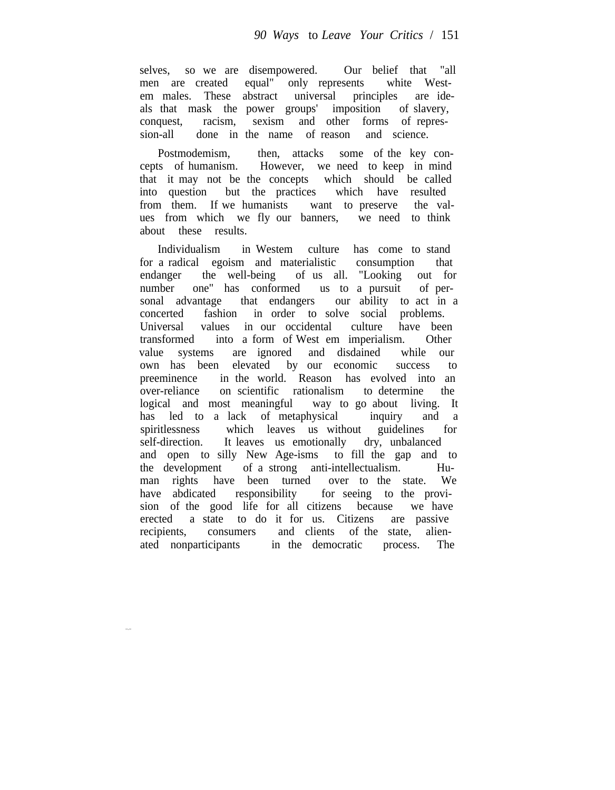selves, so we are disempowered. Our belief that "all men are created equal" only represents white Westem males. These abstract universal principles are ideals that mask the power groups' imposition of slavery, conquest, racism, sexism and other forms of repression-all done in the name of reason and science.

Postmodemism, then, attacks some of the key concepts of humanism. However, we need to keep in mind that it may not be the concepts which should be called into question but the practices which have resulted from them. If we humanists want to preserve the values from which we fly our banners, we need to think about these results.

Individualism in Westem culture has come to stand for a radical egoism and materialistic consumption that endanger the well-being of us all. "Looking out for number one" has conformed us to a pursuit of personal advantage that endangers our ability to act in a concerted fashion in order to solve social problems. Universal values in our occidental culture have been transformed into a form of West em imperialism. Other value systems are ignored and disdained while our own has been elevated by our economic success to preeminence in the world. Reason has evolved into an over-reliance on scientific rationalism to determine the logical and most meaningful way to go about living. It has led to a lack of metaphysical inquiry and a spiritlessness which leaves us without guidelines for self-direction. It leaves us emotionally dry, unbalanced and open to silly New Age-isms to fill the gap and to the development of a strong anti-intellectualism. Human rights have been turned over to the state. We have abdicated responsibility for seeing to the provision of the good life for all citizens because we have erected a state to do it for us. Citizens are passive recipients, consumers and clients of the state, alienated nonparticipants in the democratic process. The

--.--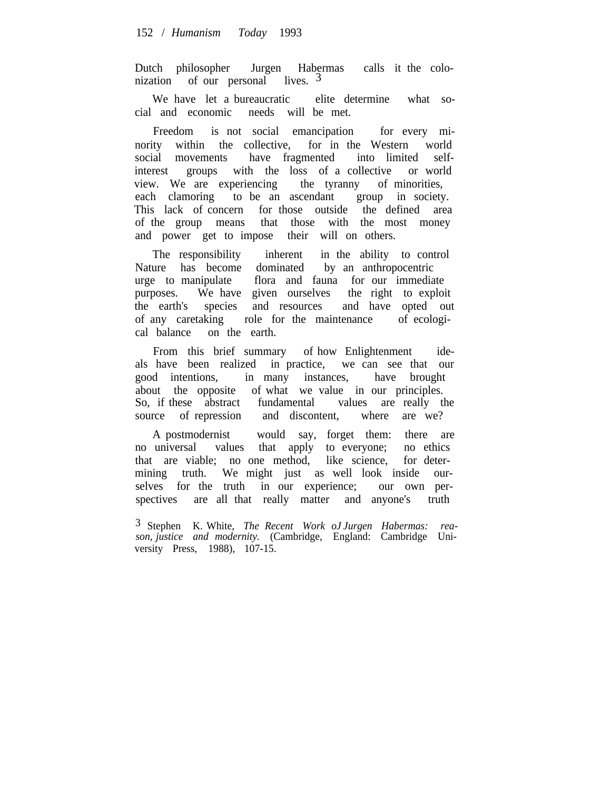Dutch philosopher Jurgen Habermas calls it the colonization of our personal lives.  $3\overline{3}$ 

We have let a bureaucratic elite determine what social and economic needs will be met.

Freedom is not social emancipation for every minority within the collective, for in the Western world social movements have fragmented into limited selfinterest groups with the loss of a collective or world view. We are experiencing the tyranny of minorities, each clamoring to be an ascendant group in society. This lack of concern for those outside the defined area of the group means that those with the most money and power get to impose their will on others.

The responsibility inherent in the ability to control Nature has become dominated by an anthropocentric urge to manipulate flora and fauna for our immediate purposes. We have given ourselves the right to exploit the earth's species and resources and have opted out of any caretaking role for the maintenance of ecological balance on the earth.

From this brief summary of how Enlightenment ideals have been realized in practice, we can see that our good intentions, in many instances, have brought about the opposite of what we value in our principles. So, if these abstract fundamental values are really the source of repression and discontent, where are we?

A postmodernist would say, forget them: there are no universal values that apply to everyone; no ethics that are viable; no one method, like science, for determining truth. We might just as well look inside ourselves for the truth in our experience; our own perspectives are all that really matter and anyone's truth

3 Stephen K. White, *The Recent Work oJ Jurgen Habermas: reason, justice and modernity.* (Cambridge, England: Cambridge University Press, 1988), 107-15.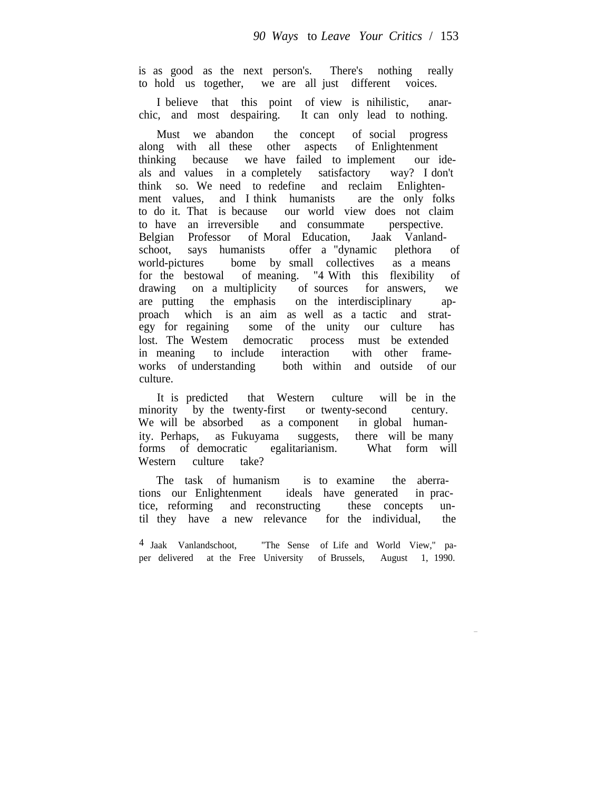is as good as the next person's. There's nothing really to hold us together, we are all just different voices.

I believe that this point of view is nihilistic, anarchic, and most despairing. It can only lead to nothing.

Must we abandon the concept of social progress along with all these other aspects of Enlightenment thinking because we have failed to implement our ideals and values in a completely satisfactory way? I don't think so. We need to redefine and reclaim Enlightenment values, and I think humanists are the only folks to do it. That is because our world view does not claim<br>to have an irreversible and consummate perspective to have an irreversible and consummate Belgian Professor of Moral Education, Jaak Vanlandschoot, says humanists offer a "dynamic plethora of world-pictures bome by small collectives as a means for the bestowal of meaning. "4 With this flexibility of drawing on a multiplicity of sources for answers, we are putting the emphasis on the interdisciplinary approach which is an aim as well as a tactic and strategy for regaining some of the unity our culture has lost. The Westem democratic process must be extended in meaning to include interaction with other frameworks of understanding both within and outside of our culture.

It is predicted that Western culture will be in the minority by the twenty-first or twenty-second century. We will be absorbed as a component in global humanity. Perhaps, as Fukuyama suggests, there will be many forms of democratic egalitarianism. What form will Western culture take?

The task of humanism is to examine the aberrations our Enlightenment ideals have generated in practice, reforming and reconstructing these concepts until they have a new relevance for the individual, the

4 Jaak Vanlandschoot, "The Sense of Life and World View," paper delivered at the Free University of Brussels, August 1, 1990.